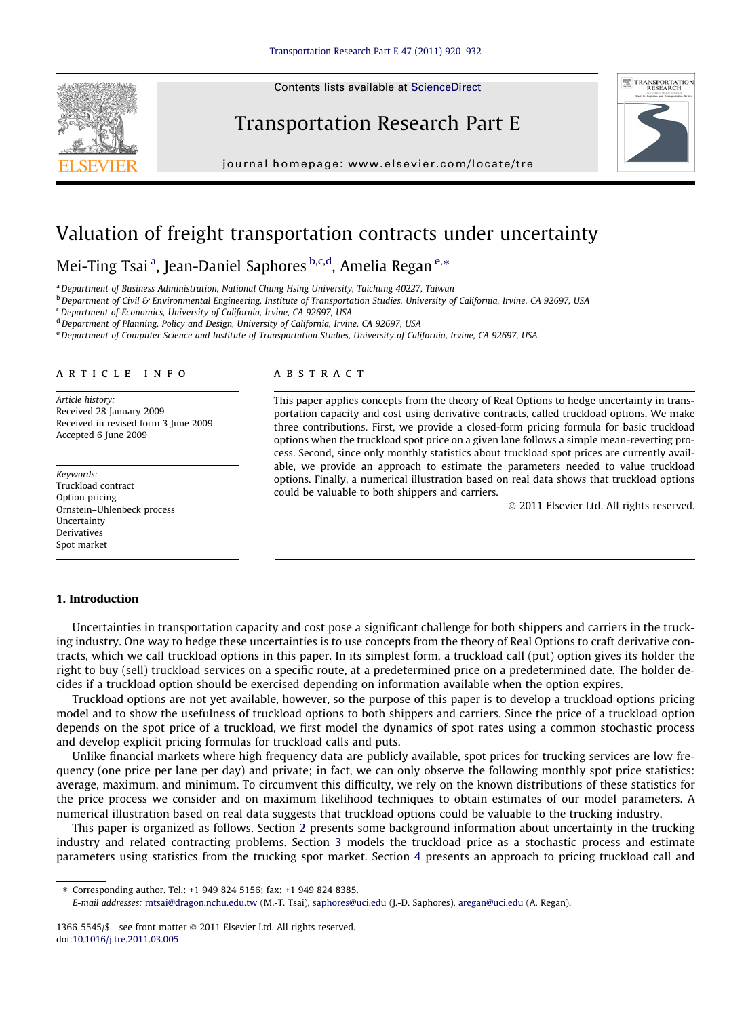Contents lists available at [ScienceDirect](http://www.sciencedirect.com/science/journal/13665545)







journal homepage: [www.elsevier.com/locate/tre](http://www.elsevier.com/locate/tre)

## Valuation of freight transportation contracts under uncertainty

### Mei-Ting Tsai <sup>a</sup>, Jean-Daniel Saphores <sup>b,c,d</sup>, Amelia Regan <sup>e,</sup>\*

<sup>a</sup> Department of Business Administration, National Chung Hsing University, Taichung 40227, Taiwan

<sup>b</sup> Department of Civil & Environmental Engineering, Institute of Transportation Studies, University of California, Irvine, CA 92697, USA

<sup>c</sup>Department of Economics, University of California, Irvine, CA 92697, USA

<sup>d</sup> Department of Planning, Policy and Design, University of California, Irvine, CA 92697, USA

e Department of Computer Science and Institute of Transportation Studies, University of California, Irvine, CA 92697, USA

#### article info

Article history: Received 28 January 2009 Received in revised form 3 June 2009 Accepted 6 June 2009

Keywords: Truckload contract Option pricing Ornstein–Uhlenbeck process Uncertainty Derivatives Spot market

#### **ABSTRACT**

This paper applies concepts from the theory of Real Options to hedge uncertainty in transportation capacity and cost using derivative contracts, called truckload options. We make three contributions. First, we provide a closed-form pricing formula for basic truckload options when the truckload spot price on a given lane follows a simple mean-reverting process. Second, since only monthly statistics about truckload spot prices are currently available, we provide an approach to estimate the parameters needed to value truckload options. Finally, a numerical illustration based on real data shows that truckload options could be valuable to both shippers and carriers.

- 2011 Elsevier Ltd. All rights reserved.

#### 1. Introduction

Uncertainties in transportation capacity and cost pose a significant challenge for both shippers and carriers in the trucking industry. One way to hedge these uncertainties is to use concepts from the theory of Real Options to craft derivative contracts, which we call truckload options in this paper. In its simplest form, a truckload call (put) option gives its holder the right to buy (sell) truckload services on a specific route, at a predetermined price on a predetermined date. The holder decides if a truckload option should be exercised depending on information available when the option expires.

Truckload options are not yet available, however, so the purpose of this paper is to develop a truckload options pricing model and to show the usefulness of truckload options to both shippers and carriers. Since the price of a truckload option depends on the spot price of a truckload, we first model the dynamics of spot rates using a common stochastic process and develop explicit pricing formulas for truckload calls and puts.

Unlike financial markets where high frequency data are publicly available, spot prices for trucking services are low frequency (one price per lane per day) and private; in fact, we can only observe the following monthly spot price statistics: average, maximum, and minimum. To circumvent this difficulty, we rely on the known distributions of these statistics for the price process we consider and on maximum likelihood techniques to obtain estimates of our model parameters. A numerical illustration based on real data suggests that truckload options could be valuable to the trucking industry.

This paper is organized as follows. Section 2 presents some background information about uncertainty in the trucking industry and related contracting problems. Section 3 models the truckload price as a stochastic process and estimate parameters using statistics from the trucking spot market. Section 4 presents an approach to pricing truckload call and

⇑ Corresponding author. Tel.: +1 949 824 5156; fax: +1 949 824 8385.

E-mail addresses: [mtsai@dragon.nchu.edu.tw](mailto:mtsai@dragon.nchu.edu.tw) (M.-T. Tsai), [saphores@uci.edu](mailto:saphores@uci.edu) (J.-D. Saphores), [aregan@uci.edu](mailto:aregan@uci.edu) (A. Regan).

<sup>1366-5545/\$ -</sup> see front matter  $\odot$  2011 Elsevier Ltd. All rights reserved. doi[:10.1016/j.tre.2011.03.005](http://dx.doi.org/10.1016/j.tre.2011.03.005)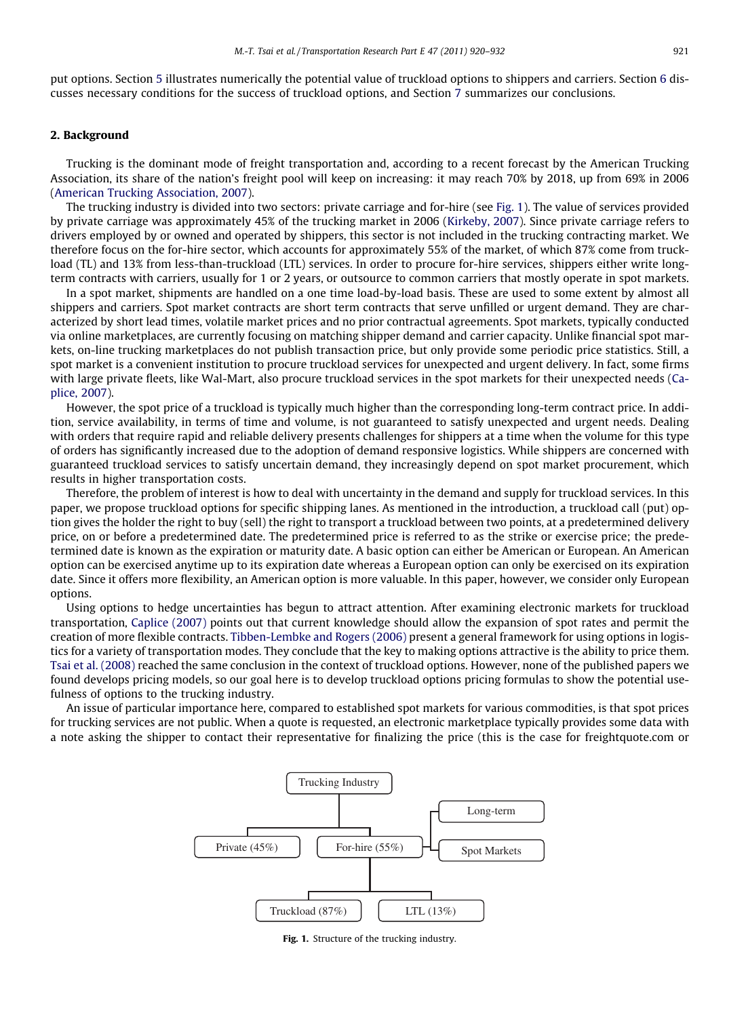put options. Section 5 illustrates numerically the potential value of truckload options to shippers and carriers. Section 6 discusses necessary conditions for the success of truckload options, and Section 7 summarizes our conclusions.

#### 2. Background

Trucking is the dominant mode of freight transportation and, according to a recent forecast by the American Trucking Association, its share of the nation's freight pool will keep on increasing: it may reach 70% by 2018, up from 69% in 2006 ([American Trucking Association, 2007\)](#page--1-0).

The trucking industry is divided into two sectors: private carriage and for-hire (see Fig. 1). The value of services provided by private carriage was approximately 45% of the trucking market in 2006 ([Kirkeby, 2007](#page--1-0)). Since private carriage refers to drivers employed by or owned and operated by shippers, this sector is not included in the trucking contracting market. We therefore focus on the for-hire sector, which accounts for approximately 55% of the market, of which 87% come from truckload (TL) and 13% from less-than-truckload (LTL) services. In order to procure for-hire services, shippers either write longterm contracts with carriers, usually for 1 or 2 years, or outsource to common carriers that mostly operate in spot markets.

In a spot market, shipments are handled on a one time load-by-load basis. These are used to some extent by almost all shippers and carriers. Spot market contracts are short term contracts that serve unfilled or urgent demand. They are characterized by short lead times, volatile market prices and no prior contractual agreements. Spot markets, typically conducted via online marketplaces, are currently focusing on matching shipper demand and carrier capacity. Unlike financial spot markets, on-line trucking marketplaces do not publish transaction price, but only provide some periodic price statistics. Still, a spot market is a convenient institution to procure truckload services for unexpected and urgent delivery. In fact, some firms with large private fleets, like Wal-Mart, also procure truckload services in the spot markets for their unexpected needs ([Ca](#page--1-0)[plice, 2007](#page--1-0)).

However, the spot price of a truckload is typically much higher than the corresponding long-term contract price. In addition, service availability, in terms of time and volume, is not guaranteed to satisfy unexpected and urgent needs. Dealing with orders that require rapid and reliable delivery presents challenges for shippers at a time when the volume for this type of orders has significantly increased due to the adoption of demand responsive logistics. While shippers are concerned with guaranteed truckload services to satisfy uncertain demand, they increasingly depend on spot market procurement, which results in higher transportation costs.

Therefore, the problem of interest is how to deal with uncertainty in the demand and supply for truckload services. In this paper, we propose truckload options for specific shipping lanes. As mentioned in the introduction, a truckload call (put) option gives the holder the right to buy (sell) the right to transport a truckload between two points, at a predetermined delivery price, on or before a predetermined date. The predetermined price is referred to as the strike or exercise price; the predetermined date is known as the expiration or maturity date. A basic option can either be American or European. An American option can be exercised anytime up to its expiration date whereas a European option can only be exercised on its expiration date. Since it offers more flexibility, an American option is more valuable. In this paper, however, we consider only European options.

Using options to hedge uncertainties has begun to attract attention. After examining electronic markets for truckload transportation, [Caplice \(2007\)](#page--1-0) points out that current knowledge should allow the expansion of spot rates and permit the creation of more flexible contracts. [Tibben-Lembke and Rogers \(2006\)](#page--1-0) present a general framework for using options in logistics for a variety of transportation modes. They conclude that the key to making options attractive is the ability to price them. [Tsai et al. \(2008\)](#page--1-0) reached the same conclusion in the context of truckload options. However, none of the published papers we found develops pricing models, so our goal here is to develop truckload options pricing formulas to show the potential usefulness of options to the trucking industry.

An issue of particular importance here, compared to established spot markets for various commodities, is that spot prices for trucking services are not public. When a quote is requested, an electronic marketplace typically provides some data with a note asking the shipper to contact their representative for finalizing the price (this is the case for freightquote.com or



Fig. 1. Structure of the trucking industry.